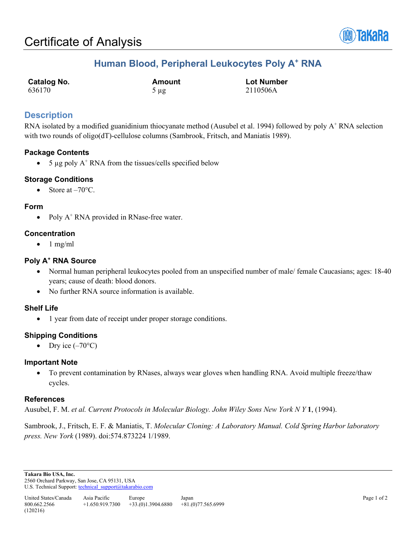

## **Human Blood, Peripheral Leukocytes Poly A+ RNA**

| <b>Catalog No.</b> | Amount    | <b>Lot Number</b> |
|--------------------|-----------|-------------------|
| 636170             | $5 \mu g$ | 2110506A          |

### **Description**

RNA isolated by a modified guanidinium thiocyanate method (Ausubel et al. 1994) followed by poly A<sup>+</sup> RNA selection with two rounds of oligo(dT)-cellulose columns (Sambrook, Fritsch, and Maniatis 1989).

### **Package Contents**

• 5  $\mu$ g poly A<sup>+</sup> RNA from the tissues/cells specified below

### **Storage Conditions**

Store at  $-70$ °C.

### **Form**

• Poly  $A^+$  RNA provided in RNase-free water.

### **Concentration**

 $\bullet$  1 mg/ml

### **Poly A+ RNA Source**

- Normal human peripheral leukocytes pooled from an unspecified number of male/ female Caucasians; ages: 18-40 years; cause of death: blood donors.
- No further RNA source information is available.

### **Shelf Life**

• 1 year from date of receipt under proper storage conditions.

### **Shipping Conditions**

Dry ice  $(-70^{\circ}C)$ 

### **Important Note**

• To prevent contamination by RNases, always wear gloves when handling RNA. Avoid multiple freeze/thaw cycles.

### **References**

Ausubel, F. M. *et al. Current Protocols in Molecular Biology. John Wiley Sons New York N Y* **1**, (1994).

Sambrook, J., Fritsch, E. F. & Maniatis, T. *Molecular Cloning: A Laboratory Manual. Cold Spring Harbor laboratory press. New York* (1989). doi:574.873224 1/1989.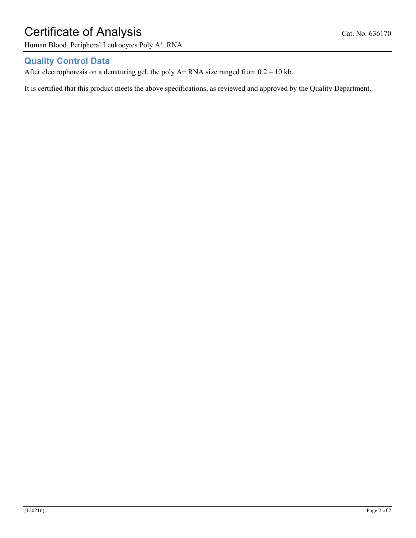# Certificate of Analysis Cat. No. 636170

Human Blood, Peripheral Leukocytes Poly A<sup>+</sup> RNA

## **Quality Control Data**

After electrophoresis on a denaturing gel, the poly  $A+$  RNA size ranged from  $0.2 - 10$  kb.

It is certified that this product meets the above specifications, as reviewed and approved by the Quality Department.